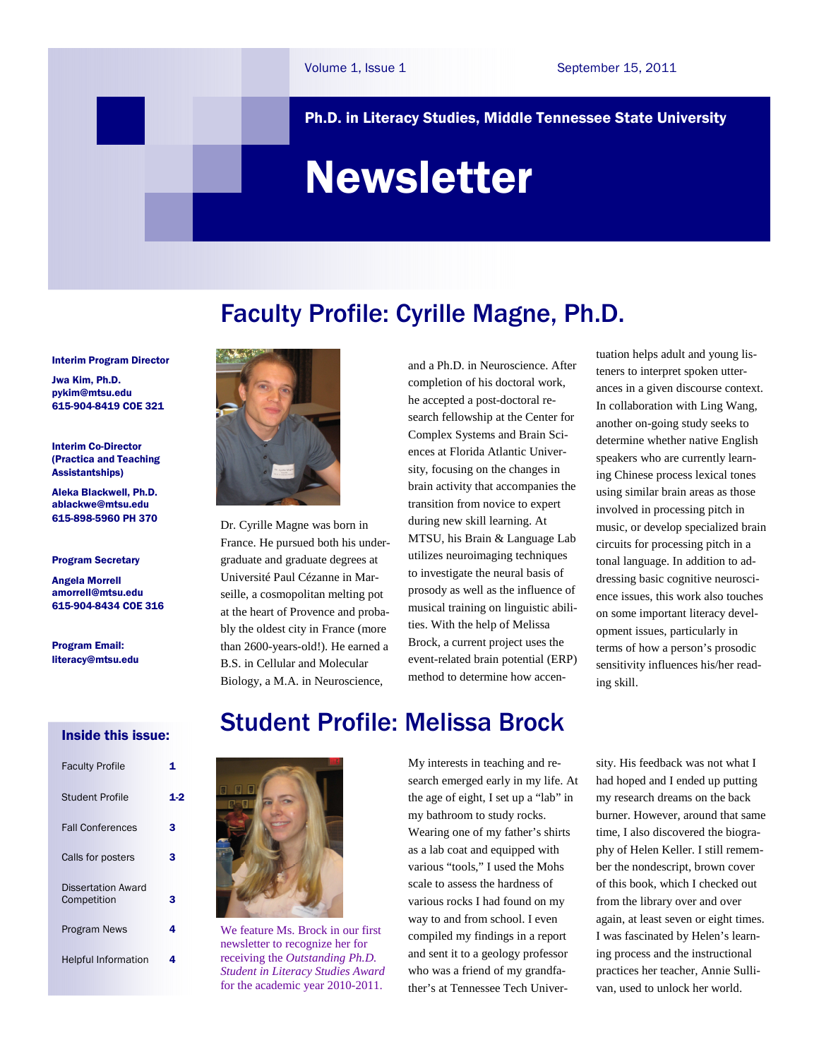### Ph.D. in Literacy Studies, Middle Tennessee State University

# Newsletter

Faculty Profile: Cyrille Magne, Ph.D.

#### Interim Program Director

Jwa Kim, Ph.D. pykim@mtsu.edu 615-904-8419 COE 321

#### Interim Co-Director (Practica and Teaching Assistantships)

Aleka Blackwell, Ph.D. ablackwe@mtsu.edu 615-898-5960 PH 370

#### Program Secretary

Angela Morrell amorrell@mtsu.edu 615-904-8434 COE 316

Program Email: literacy@mtsu.edu

### Inside this issue:

| <b>Faculty Profile</b>                   |     |
|------------------------------------------|-----|
| Student Profile                          | 1.: |
| <b>Fall Conferences</b>                  | з   |
| Calls for posters                        | 3   |
| <b>Dissertation Award</b><br>Competition | з   |
| <b>Program News</b>                      | 4   |
| <b>Helpful Information</b>               | 4   |



Dr. Cyrille Magne was born in France. He pursued both his undergraduate and graduate degrees at Université Paul Cézanne in Marseille, a cosmopolitan melting pot at the heart of Provence and probably the oldest city in France (more than 2600-years-old!). He earned a B.S. in Cellular and Molecular Biology, a M.A. in Neuroscience,

and a Ph.D. in Neuroscience. After completion of his doctoral work, he accepted a post-doctoral research fellowship at the Center for Complex Systems and Brain Sciences at Florida Atlantic University, focusing on the changes in brain activity that accompanies the transition from novice to expert during new skill learning. At MTSU, his Brain & Language Lab utilizes neuroimaging techniques to investigate the neural basis of prosody as well as the influence of musical training on linguistic abilities. With the help of Melissa Brock, a current project uses the event-related brain potential (ERP) method to determine how accentuation helps adult and young listeners to interpret spoken utterances in a given discourse context. In collaboration with Ling Wang, another on-going study seeks to determine whether native English speakers who are currently learning Chinese process lexical tones using similar brain areas as those involved in processing pitch in music, or develop specialized brain circuits for processing pitch in a tonal language. In addition to addressing basic cognitive neuroscience issues, this work also touches on some important literacy development issues, particularly in terms of how a person's prosodic sensitivity influences his/her reading skill.

# Student Profile: Melissa Brock



We feature Ms. Brock in our first newsletter to recognize her for receiving the *Outstanding Ph.D. Student in Literacy Studies Award* for the academic year 2010-2011.

My interests in teaching and research emerged early in my life. At the age of eight, I set up a "lab" in my bathroom to study rocks. Wearing one of my father's shirts as a lab coat and equipped with various "tools," I used the Mohs scale to assess the hardness of various rocks I had found on my way to and from school. I even compiled my findings in a report and sent it to a geology professor who was a friend of my grandfather's at Tennessee Tech University. His feedback was not what I had hoped and I ended up putting my research dreams on the back burner. However, around that same time, I also discovered the biography of Helen Keller. I still remember the nondescript, brown cover of this book, which I checked out from the library over and over again, at least seven or eight times. I was fascinated by Helen's learning process and the instructional practices her teacher, Annie Sullivan, used to unlock her world.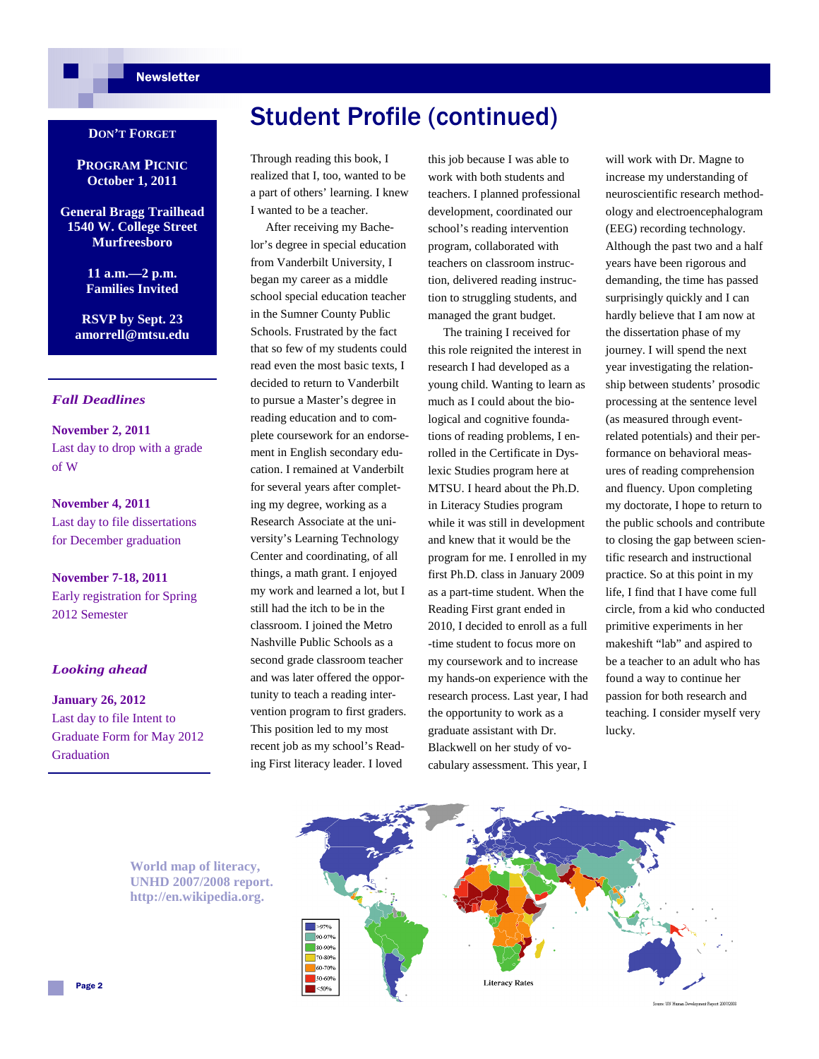### **Newsletter**

### **DON'T FORGET**

**PROGRAM PICNIC October 1, 2011** 

**General Bragg Trailhead 1540 W. College Street Murfreesboro** 

> **11 a.m.—2 p.m. Families Invited**

**RSVP by Sept. 23 amorrell@mtsu.edu** 

### *Fall Deadlines*

**November 2, 2011**  Last day to drop with a grade of W

**November 4, 2011**  Last day to file dissertations for December graduation

**November 7-18, 2011**  Early registration for Spring 2012 Semester

### *Looking ahead*

**January 26, 2012**  Last day to file Intent to Graduate Form for May 2012 **Graduation** 

# Student Profile (continued)

Through reading this book, I realized that I, too, wanted to be a part of others' learning. I knew I wanted to be a teacher.

 After receiving my Bachelor's degree in special education from Vanderbilt University, I began my career as a middle school special education teacher in the Sumner County Public Schools. Frustrated by the fact that so few of my students could read even the most basic texts, I decided to return to Vanderbilt to pursue a Master's degree in reading education and to complete coursework for an endorsement in English secondary education. I remained at Vanderbilt for several years after completing my degree, working as a Research Associate at the university's Learning Technology Center and coordinating, of all things, a math grant. I enjoyed my work and learned a lot, but I still had the itch to be in the classroom. I joined the Metro Nashville Public Schools as a second grade classroom teacher and was later offered the opportunity to teach a reading intervention program to first graders. This position led to my most recent job as my school's Reading First literacy leader. I loved

this job because I was able to work with both students and teachers. I planned professional development, coordinated our school's reading intervention program, collaborated with teachers on classroom instruction, delivered reading instruction to struggling students, and managed the grant budget.

 The training I received for this role reignited the interest in research I had developed as a young child. Wanting to learn as much as I could about the biological and cognitive foundations of reading problems, I enrolled in the Certificate in Dyslexic Studies program here at MTSU. I heard about the Ph.D. in Literacy Studies program while it was still in development and knew that it would be the program for me. I enrolled in my first Ph.D. class in January 2009 as a part-time student. When the Reading First grant ended in 2010, I decided to enroll as a full -time student to focus more on my coursework and to increase my hands-on experience with the research process. Last year, I had the opportunity to work as a graduate assistant with Dr. Blackwell on her study of vocabulary assessment. This year, I

will work with Dr. Magne to increase my understanding of neuroscientific research methodology and electroencephalogram (EEG) recording technology. Although the past two and a half years have been rigorous and demanding, the time has passed surprisingly quickly and I can hardly believe that I am now at the dissertation phase of my journey. I will spend the next year investigating the relationship between students' prosodic processing at the sentence level (as measured through eventrelated potentials) and their performance on behavioral measures of reading comprehension and fluency. Upon completing my doctorate, I hope to return to the public schools and contribute to closing the gap between scientific research and instructional practice. So at this point in my life, I find that I have come full circle, from a kid who conducted primitive experiments in her makeshift "lab" and aspired to be a teacher to an adult who has found a way to continue her passion for both research and teaching. I consider myself very lucky.



**World map of literacy, UNHD 2007/2008 report. http://en.wikipedia.org.**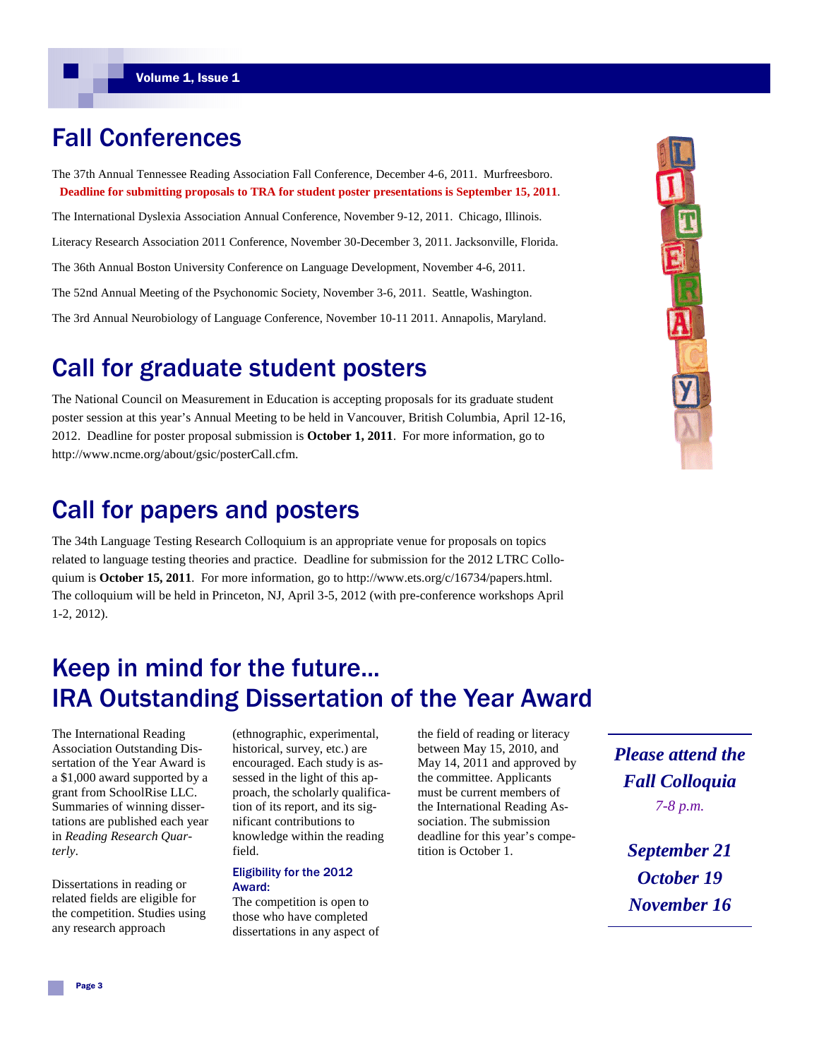# Fall Conferences

The 37th Annual Tennessee Reading Association Fall Conference, December 4-6, 2011. Murfreesboro. **Deadline for submitting proposals to TRA for student poster presentations is September 15, 2011**.

The International Dyslexia Association Annual Conference, November 9-12, 2011. Chicago, Illinois. Literacy Research Association 2011 Conference, November 30-December 3, 2011. Jacksonville, Florida. The 36th Annual Boston University Conference on Language Development, November 4-6, 2011. The 52nd Annual Meeting of the Psychonomic Society, November 3-6, 2011. Seattle, Washington. The 3rd Annual Neurobiology of Language Conference, November 10-11 2011. Annapolis, Maryland.

# Call for graduate student posters

The National Council on Measurement in Education is accepting proposals for its graduate student poster session at this year's Annual Meeting to be held in Vancouver, British Columbia, April 12-16, 2012. Deadline for poster proposal submission is **October 1, 2011**. For more information, go to http://www.ncme.org/about/gsic/posterCall.cfm.

## Call for papers and posters

The 34th Language Testing Research Colloquium is an appropriate venue for proposals on topics related to language testing theories and practice. Deadline for submission for the 2012 LTRC Colloquium is **October 15, 2011**. For more information, go to http://www.ets.org/c/16734/papers.html. The colloquium will be held in Princeton, NJ, April 3-5, 2012 (with pre-conference workshops April 1-2, 2012).

# Keep in mind for the future... IRA Outstanding Dissertation of the Year Award

The International Reading Association Outstanding Dissertation of the Year Award is a \$1,000 award supported by a grant from SchoolRise LLC. Summaries of winning dissertations are published each year in *Reading Research Quarterly*.

Dissertations in reading or related fields are eligible for the competition. Studies using any research approach

(ethnographic, experimental, historical, survey, etc.) are encouraged. Each study is assessed in the light of this approach, the scholarly qualification of its report, and its significant contributions to knowledge within the reading field.

#### Eligibility for the 2012 Award:

The competition is open to those who have completed dissertations in any aspect of the field of reading or literacy between May 15, 2010, and May 14, 2011 and approved by the committee. Applicants must be current members of the International Reading Association. The submission deadline for this year's competition is October 1.

*Please attend the Fall Colloquia 7-8 p.m.* 

> *September 21 October 19 November 16*